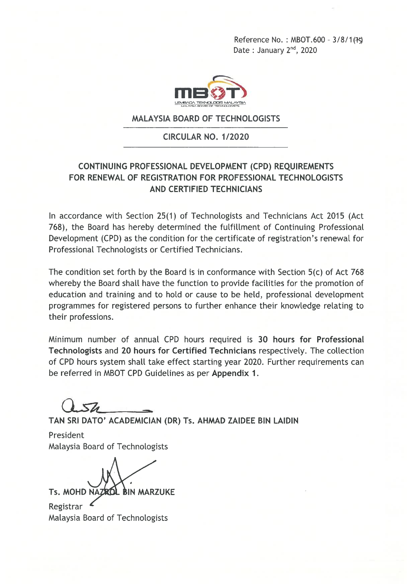Reference No.: MBOT.600 - 3/8/1(75) Date: January 2<sup>nd</sup>, 2020



#### **MALAYSIA BOARD OF TECHNOLOGISTS**

#### CIRCULAR NO. 1/2020

#### CONTINUING PROFESSIONAL DEVELOPMENT (CPD) REQUIREMENTS FOR RENEWAL OF REGISTRATION FOR PROFESSIONAL TECHNOLOGISTS **AND CERTIFIED TECHNICIANS**

In accordance with Section 25(1) of Technologists and Technicians Act 2015 (Act 768), the Board has hereby determined the fulfillment of Continuing Professional Development (CPD) as the condition for the certificate of registration's renewal for Professional Technologists or Certified Technicians.

The condition set forth by the Board is in conformance with Section 5(c) of Act 768 whereby the Board shall have the function to provide facilities for the promotion of education and training and to hold or cause to be held, professional development programmes for registered persons to further enhance their knowledge relating to their professions.

Minimum number of annual CPD hours required is 30 hours for Professional Technologists and 20 hours for Certified Technicians respectively. The collection of CPD hours system shall take effect starting year 2020. Further requirements can be referred in MBOT CPD Guidelines as per Appendix 1.

TAN SRI DATO' ACADEMICIAN (DR) Ts. AHMAD ZAIDEE BIN LAIDIN

President Malaysia Board of Technologists

Ts. MOHD NAZR **BIN MARZUKE** 

Registrar Malaysia Board of Technologists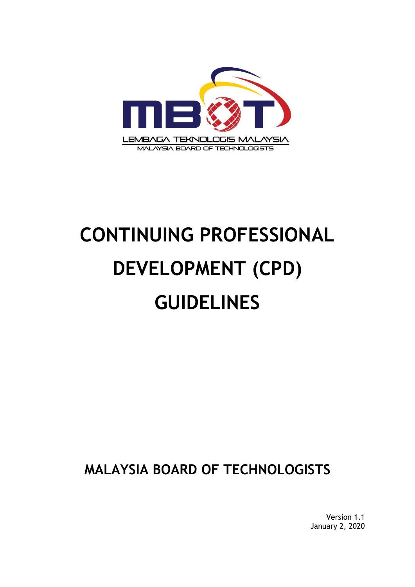

# **CONTINUING PROFESSIONAL DEVELOPMENT (CPD) GUIDELINES**

**MALAYSIA BOARD OF TECHNOLOGISTS**

Version 1.1 January 2, 2020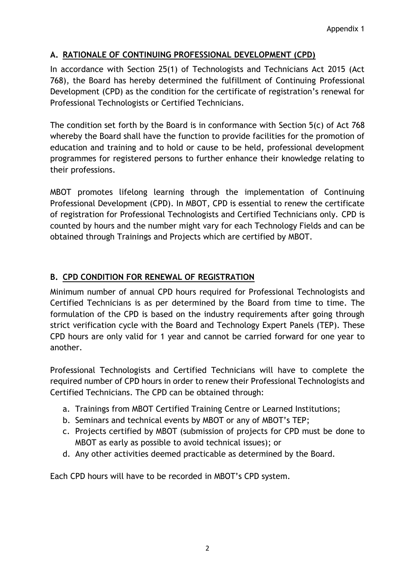#### **A. RATIONALE OF CONTINUING PROFESSIONAL DEVELOPMENT (CPD)**

In accordance with Section 25(1) of Technologists and Technicians Act 2015 (Act 768), the Board has hereby determined the fulfillment of Continuing Professional Development (CPD) as the condition for the certificate of registration's renewal for Professional Technologists or Certified Technicians.

The condition set forth by the Board is in conformance with Section 5(c) of Act 768 whereby the Board shall have the function to provide facilities for the promotion of education and training and to hold or cause to be held, professional development programmes for registered persons to further enhance their knowledge relating to their professions.

MBOT promotes lifelong learning through the implementation of Continuing Professional Development (CPD). In MBOT, CPD is essential to renew the certificate of registration for Professional Technologists and Certified Technicians only. CPD is counted by hours and the number might vary for each Technology Fields and can be obtained through Trainings and Projects which are certified by MBOT.

### **B. CPD CONDITION FOR RENEWAL OF REGISTRATION**

Minimum number of annual CPD hours required for Professional Technologists and Certified Technicians is as per determined by the Board from time to time. The formulation of the CPD is based on the industry requirements after going through strict verification cycle with the Board and Technology Expert Panels (TEP). These CPD hours are only valid for 1 year and cannot be carried forward for one year to another.

Professional Technologists and Certified Technicians will have to complete the required number of CPD hours in order to renew their Professional Technologists and Certified Technicians. The CPD can be obtained through:

- a. Trainings from MBOT Certified Training Centre or Learned Institutions;
- b. Seminars and technical events by MBOT or any of MBOT's TEP;
- c. Projects certified by MBOT (submission of projects for CPD must be done to MBOT as early as possible to avoid technical issues); or
- d. Any other activities deemed practicable as determined by the Board.

Each CPD hours will have to be recorded in MBOT's CPD system.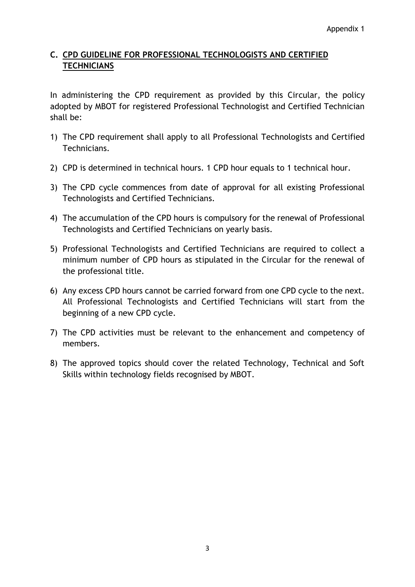### **C. CPD GUIDELINE FOR PROFESSIONAL TECHNOLOGISTS AND CERTIFIED TECHNICIANS**

In administering the CPD requirement as provided by this Circular, the policy adopted by MBOT for registered Professional Technologist and Certified Technician shall be:

- 1) The CPD requirement shall apply to all Professional Technologists and Certified Technicians.
- 2) CPD is determined in technical hours. 1 CPD hour equals to 1 technical hour.
- 3) The CPD cycle commences from date of approval for all existing Professional Technologists and Certified Technicians.
- 4) The accumulation of the CPD hours is compulsory for the renewal of Professional Technologists and Certified Technicians on yearly basis.
- 5) Professional Technologists and Certified Technicians are required to collect a minimum number of CPD hours as stipulated in the Circular for the renewal of the professional title.
- 6) Any excess CPD hours cannot be carried forward from one CPD cycle to the next. All Professional Technologists and Certified Technicians will start from the beginning of a new CPD cycle.
- 7) The CPD activities must be relevant to the enhancement and competency of members.
- 8) The approved topics should cover the related Technology, Technical and Soft Skills within technology fields recognised by MBOT.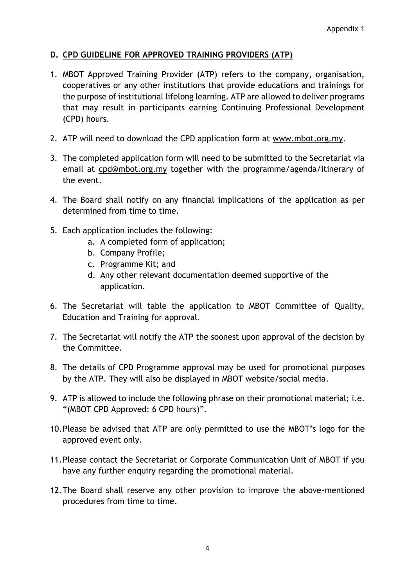#### **D. CPD GUIDELINE FOR APPROVED TRAINING PROVIDERS (ATP)**

- 1. MBOT Approved Training Provider (ATP) refers to the company, organisation, cooperatives or any other institutions that provide educations and trainings for the purpose of institutional lifelong learning. ATP are allowed to deliver programs that may result in participants earning Continuing Professional Development (CPD) hours.
- 2. ATP will need to download the CPD application form at [www.mbot.org.my.](http://www.mbot.org.my/)
- 3. The completed application form will need to be submitted to the Secretariat via email at [cpd@mbot.org.my](mailto:cpd@mbot.org.my) together with the programme/agenda/itinerary of the event.
- 4. The Board shall notify on any financial implications of the application as per determined from time to time.
- 5. Each application includes the following:
	- a. A completed form of application;
	- b. Company Profile;
	- c. Programme Kit; and
	- d. Any other relevant documentation deemed supportive of the application.
- 6. The Secretariat will table the application to MBOT Committee of Quality, Education and Training for approval.
- 7. The Secretariat will notify the ATP the soonest upon approval of the decision by the Committee.
- 8. The details of CPD Programme approval may be used for promotional purposes by the ATP. They will also be displayed in MBOT website/social media.
- 9. ATP is allowed to include the following phrase on their promotional material; i.e. "(MBOT CPD Approved: 6 CPD hours)".
- 10.Please be advised that ATP are only permitted to use the MBOT's logo for the approved event only.
- 11.Please contact the Secretariat or Corporate Communication Unit of MBOT if you have any further enquiry regarding the promotional material.
- 12.The Board shall reserve any other provision to improve the above-mentioned procedures from time to time.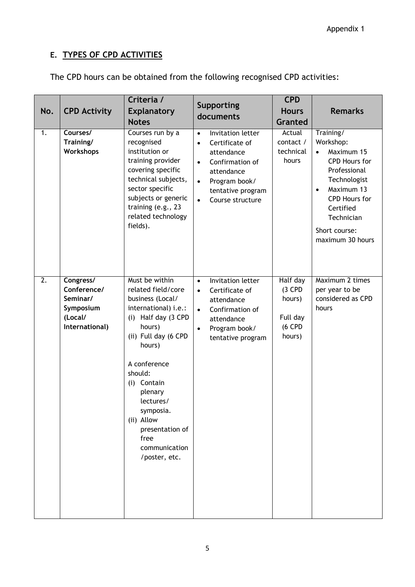## **E. TYPES OF CPD ACTIVITIES**

| No.<br>1.        | <b>CPD Activity</b><br>Courses/<br>Training/                                   | Criteria /<br><b>Explanatory</b><br><b>Notes</b><br>Courses run by a<br>recognised                                                                                                                                                                                                                               | Supporting<br>documents<br>Invitation letter<br>$\bullet$<br>Certificate of<br>$\bullet$                                                                                     | <b>CPD</b><br><b>Hours</b><br>Granted<br>Actual<br>contact /   | <b>Remarks</b><br>Training/<br>Workshop:                                                                                                                                             |
|------------------|--------------------------------------------------------------------------------|------------------------------------------------------------------------------------------------------------------------------------------------------------------------------------------------------------------------------------------------------------------------------------------------------------------|------------------------------------------------------------------------------------------------------------------------------------------------------------------------------|----------------------------------------------------------------|--------------------------------------------------------------------------------------------------------------------------------------------------------------------------------------|
|                  | <b>Workshops</b>                                                               | institution or<br>training provider<br>covering specific<br>technical subjects,<br>sector specific<br>subjects or generic<br>training (e.g., 23<br>related technology<br>fields).                                                                                                                                | attendance<br>Confirmation of<br>$\bullet$<br>attendance<br>Program book/<br>$\bullet$<br>tentative program<br>Course structure<br>$\bullet$                                 | technical<br>hours                                             | Maximum 15<br>$\bullet$<br>CPD Hours for<br>Professional<br>Technologist<br>Maximum 13<br>$\bullet$<br>CPD Hours for<br>Certified<br>Technician<br>Short course:<br>maximum 30 hours |
| $\overline{2}$ . | Congress/<br>Conference/<br>Seminar/<br>Symposium<br>(Local/<br>International) | Must be within<br>related field/core<br>business (Local/<br>international) i.e.:<br>Half day (3 CPD<br>(i)<br>hours)<br>(ii) Full day (6 CPD<br>hours)<br>A conference<br>should:<br>(i) Contain<br>plenary<br>lectures/<br>symposia.<br>(ii) Allow<br>presentation of<br>free<br>communication<br>/poster, etc. | Invitation letter<br>$\bullet$<br>Certificate of<br>$\bullet$<br>attendance<br>Confirmation of<br>$\bullet$<br>attendance<br>Program book/<br>$\bullet$<br>tentative program | Half day<br>$(3$ CPD<br>hours)<br>Full day<br>(6 CPD<br>hours) | Maximum 2 times<br>per year to be<br>considered as CPD<br>hours                                                                                                                      |

The CPD hours can be obtained from the following recognised CPD activities: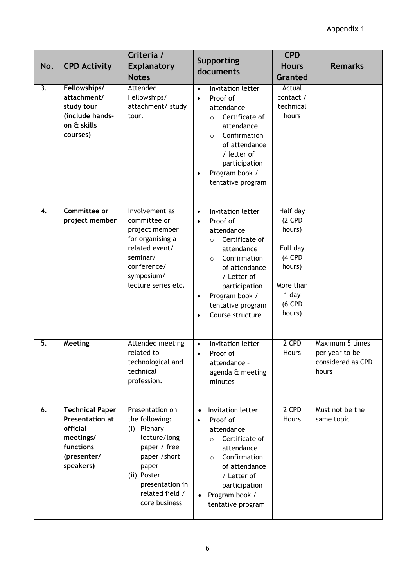| No.              | <b>CPD Activity</b>                                                                                                | Criteria /<br><b>Explanatory</b><br><b>Notes</b>                                                                                                                                 | Supporting<br>documents                                                                                                                                                                                                                                              | <b>CPD</b><br><b>Hours</b><br><b>Granted</b>                                                             | <b>Remarks</b>                                                  |
|------------------|--------------------------------------------------------------------------------------------------------------------|----------------------------------------------------------------------------------------------------------------------------------------------------------------------------------|----------------------------------------------------------------------------------------------------------------------------------------------------------------------------------------------------------------------------------------------------------------------|----------------------------------------------------------------------------------------------------------|-----------------------------------------------------------------|
| 3.               | Fellowships/<br>attachment/<br>study tour<br>(include hands-<br>on & skills<br>courses)                            | Attended<br>Fellowships/<br>attachment/ study<br>tour.                                                                                                                           | Invitation letter<br>$\bullet$<br>Proof of<br>$\bullet$<br>attendance<br>Certificate of<br>$\Omega$<br>attendance<br>Confirmation<br>$\circ$<br>of attendance<br>/ letter of<br>participation<br>Program book /<br>tentative program                                 | Actual<br>contact /<br>technical<br>hours                                                                |                                                                 |
| 4.               | <b>Committee or</b><br>project member                                                                              | Involvement as<br>committee or<br>project member<br>for organising a<br>related event/<br>seminar/<br>conference/<br>symposium/<br>lecture series etc.                           | Invitation letter<br>$\bullet$<br>Proof of<br>$\bullet$<br>attendance<br>Certificate of<br>$\circ$<br>attendance<br>Confirmation<br>$\circ$<br>of attendance<br>/ Letter of<br>participation<br>Program book /<br>$\bullet$<br>tentative program<br>Course structure | Half day<br>$(2$ CPD<br>hours)<br>Full day<br>(4 CPD<br>hours)<br>More than<br>1 day<br>(6 CPD<br>hours) |                                                                 |
| $\overline{5}$ . | Meeting                                                                                                            | Attended meeting<br>related to<br>technological and<br>technical<br>profession.                                                                                                  | <b>Invitation letter</b><br>$\bullet$<br>Proof of<br>$\bullet$<br>attendance -<br>agenda & meeting<br>minutes                                                                                                                                                        | 2 CPD<br>Hours                                                                                           | Maximum 5 times<br>per year to be<br>considered as CPD<br>hours |
| 6.               | <b>Technical Paper</b><br><b>Presentation at</b><br>official<br>meetings/<br>functions<br>(presenter/<br>speakers) | Presentation on<br>the following:<br>(i) Plenary<br>lecture/long<br>paper / free<br>paper / short<br>paper<br>(ii) Poster<br>presentation in<br>related field /<br>core business | Invitation letter<br>$\bullet$<br>Proof of<br>$\bullet$<br>attendance<br>Certificate of<br>$\circ$<br>attendance<br>Confirmation<br>$\circ$<br>of attendance<br>/ Letter of<br>participation<br>Program book /<br>$\bullet$<br>tentative program                     | 2 CPD<br>Hours                                                                                           | Must not be the<br>same topic                                   |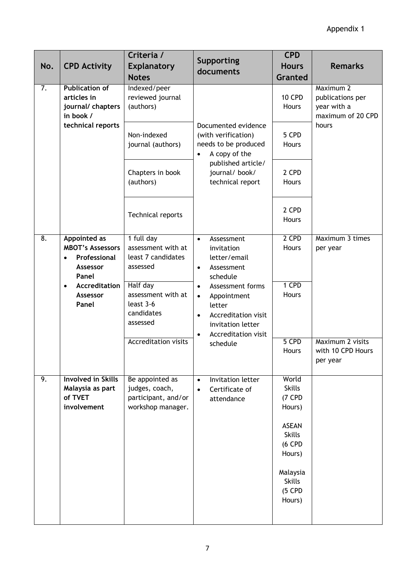| No.              | <b>CPD Activity</b>                                                                              | Criteria /<br><b>Explanatory</b><br><b>Notes</b>                              | <b>Supporting</b><br>documents                                                                                                                                                      | <b>CPD</b><br><b>Hours</b><br><b>Granted</b>                                                                                                       | <b>Remarks</b>                                                             |                             |
|------------------|--------------------------------------------------------------------------------------------------|-------------------------------------------------------------------------------|-------------------------------------------------------------------------------------------------------------------------------------------------------------------------------------|----------------------------------------------------------------------------------------------------------------------------------------------------|----------------------------------------------------------------------------|-----------------------------|
| 7.               | <b>Publication of</b><br>articles in<br>journal/ chapters<br>in book /<br>technical reports      | Indexed/peer<br>reviewed journal<br>(authors)                                 | Documented evidence<br>(with verification)<br>needs to be produced<br>A copy of the<br>$\bullet$<br>published article/<br>journal/book/<br>technical report                         | <b>10 CPD</b><br>Hours                                                                                                                             | Maximum 2<br>publications per<br>year with a<br>maximum of 20 CPD<br>hours |                             |
|                  |                                                                                                  | Non-indexed<br>journal (authors)                                              |                                                                                                                                                                                     | 5 CPD<br>Hours                                                                                                                                     |                                                                            |                             |
|                  |                                                                                                  | Chapters in book<br>(authors)                                                 |                                                                                                                                                                                     | 2 CPD<br>Hours                                                                                                                                     |                                                                            |                             |
|                  |                                                                                                  | Technical reports                                                             |                                                                                                                                                                                     | 2 CPD<br>Hours                                                                                                                                     |                                                                            |                             |
| $\overline{8}$ . | <b>Appointed as</b><br><b>MBOT's Assessors</b><br>Professional<br>$\bullet$<br>Assessor<br>Panel | 1 full day<br>assessment with at<br>least 7 candidates<br>assessed            | Assessment<br>$\bullet$<br>invitation<br>letter/email<br>Assessment<br>$\bullet$<br>schedule                                                                                        |                                                                                                                                                    | 2 CPD<br>Hours                                                             | Maximum 3 times<br>per year |
|                  | <b>Accreditation</b><br>$\bullet$<br>Assessor<br>Panel                                           | Half day<br>assessment with at<br>least 3-6<br>candidates<br>assessed         | Assessment forms<br>$\bullet$<br>Appointment<br>$\bullet$<br>letter<br><b>Accreditation visit</b><br>$\bullet$<br>invitation letter<br>Accreditation visit<br>$\bullet$<br>schedule | 1 CPD<br>Hours                                                                                                                                     |                                                                            |                             |
|                  |                                                                                                  | <b>Accreditation visits</b>                                                   |                                                                                                                                                                                     | 5 CPD<br>Hours                                                                                                                                     | Maximum 2 visits<br>with 10 CPD Hours<br>per year                          |                             |
| 9.               | <b>Involved in Skills</b><br>Malaysia as part<br>of TVET<br>involvement                          | Be appointed as<br>judges, coach,<br>participant, and/or<br>workshop manager. | Invitation letter<br>$\bullet$<br>Certificate of<br>$\bullet$<br>attendance                                                                                                         | World<br><b>Skills</b><br>(7 CPD<br>Hours)<br><b>ASEAN</b><br><b>Skills</b><br>(6 CPD<br>Hours)<br>Malaysia<br><b>Skills</b><br>$(5$ CPD<br>Hours) |                                                                            |                             |